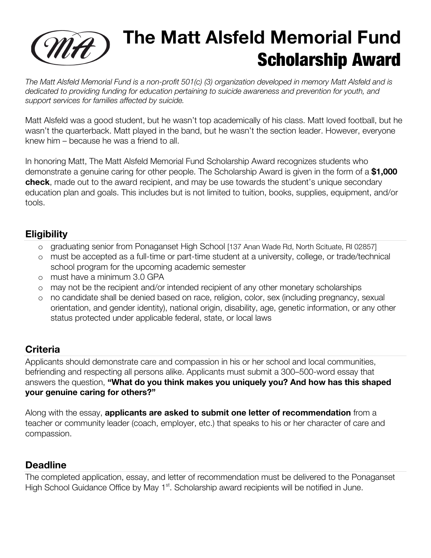

## **(MA)** The Matt Alsfeld Memorial Fund Scholarship Award

*The Matt Alsfeld Memorial Fund is a non-profit 501(c) (3) organization developed in memory Matt Alsfeld and is dedicated to providing funding for education pertaining to suicide awareness and prevention for youth, and support services for families affected by suicide.*

Matt Alsfeld was a good student, but he wasn't top academically of his class. Matt loved football, but he wasn't the quarterback. Matt played in the band, but he wasn't the section leader. However, everyone knew him – because he was a friend to all.

In honoring Matt, The Matt Alsfeld Memorial Fund Scholarship Award recognizes students who demonstrate a genuine caring for other people. The Scholarship Award is given in the form of a **\$1,000 check**, made out to the award recipient, and may be use towards the student's unique secondary education plan and goals. This includes but is not limited to tuition, books, supplies, equipment, and/or tools.

### **Eligibility**

- o graduating senior from Ponaganset High School [137 Anan Wade Rd, North Scituate, RI 02857]
- o must be accepted as a full-time or part-time student at a university, college, or trade/technical school program for the upcoming academic semester
- o must have a minimum 3.0 GPA
- o may not be the recipient and/or intended recipient of any other monetary scholarships
- o no candidate shall be denied based on race, religion, color, sex (including pregnancy, sexual orientation, and gender identity), national origin, disability, age, genetic information, or any other status protected under applicable federal, state, or local laws

### **Criteria**

Applicants should demonstrate care and compassion in his or her school and local communities, befriending and respecting all persons alike. Applicants must submit a 300–500-word essay that answers the question, **"What do you think makes you uniquely you? And how has this shaped your genuine caring for others?"**

Along with the essay, **applicants are asked to submit one letter of recommendation** from a teacher or community leader (coach, employer, etc.) that speaks to his or her character of care and compassion.

#### **Deadline**

The completed application, essay, and letter of recommendation must be delivered to the Ponaganset High School Guidance Office by May 1<sup>st</sup>. Scholarship award recipients will be notified in June.